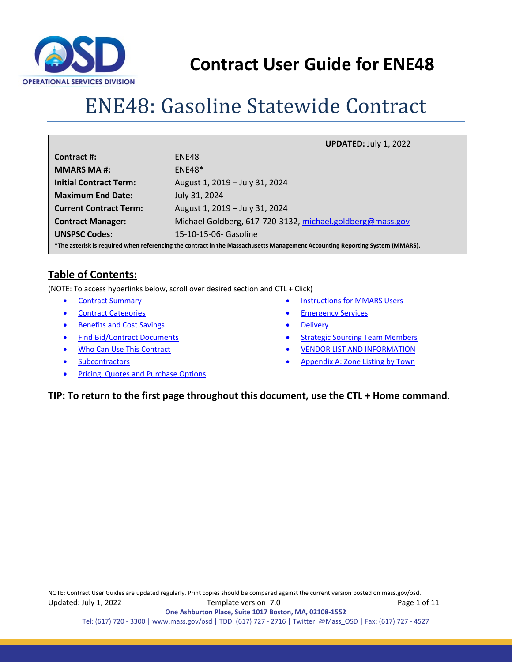

# ENE48: Gasoline Statewide Contract

|                                                                                                                              | <b>UPDATED: July 1, 2022</b>                              |  |  |  |  |
|------------------------------------------------------------------------------------------------------------------------------|-----------------------------------------------------------|--|--|--|--|
| Contract #:                                                                                                                  | ENE48                                                     |  |  |  |  |
| <b>MMARS MA#:</b>                                                                                                            | $ENE48*$                                                  |  |  |  |  |
| <b>Initial Contract Term:</b>                                                                                                | August 1, 2019 - July 31, 2024                            |  |  |  |  |
| <b>Maximum End Date:</b>                                                                                                     | July 31, 2024                                             |  |  |  |  |
| <b>Current Contract Term:</b>                                                                                                | August 1, 2019 - July 31, 2024                            |  |  |  |  |
| <b>Contract Manager:</b>                                                                                                     | Michael Goldberg, 617-720-3132, michael.goldberg@mass.gov |  |  |  |  |
| <b>UNSPSC Codes:</b>                                                                                                         | 15-10-15-06- Gasoline                                     |  |  |  |  |
| *The asterisk is required when referencing the contract in the Massachusetts Management Accounting Reporting System (MMARS). |                                                           |  |  |  |  |

# **Table of Contents:**

(NOTE: To access hyperlinks below, scroll over desired section and CTL + Click)

- [Contract Summary](#page-1-0)
- [Contract Categories](#page-1-1)
- [Benefits and Cost Savings](#page-1-2)
- [Find Bid/Contract Documents](#page-1-3)
- [Who Can Use This Contract](#page-1-4)
- **[Subcontractors](#page-2-0)**
- Pricing, Quotes [and Purchase Options](#page-3-0)
- [Instructions for MMARS Users](#page-7-0)
- **[Emergency Services](#page-7-1)**
- **[Delivery](#page-7-2)**
- **[Strategic Sourcing Team Members](#page-8-0)**
- **[VENDOR LIST AND INFORMATION](#page-9-0)**
- [Appendix A:](#page-9-1) [Zone Listing by Town](#page-10-0)

#### **TIP: To return to the first page throughout this document, use the CTL + Home command**.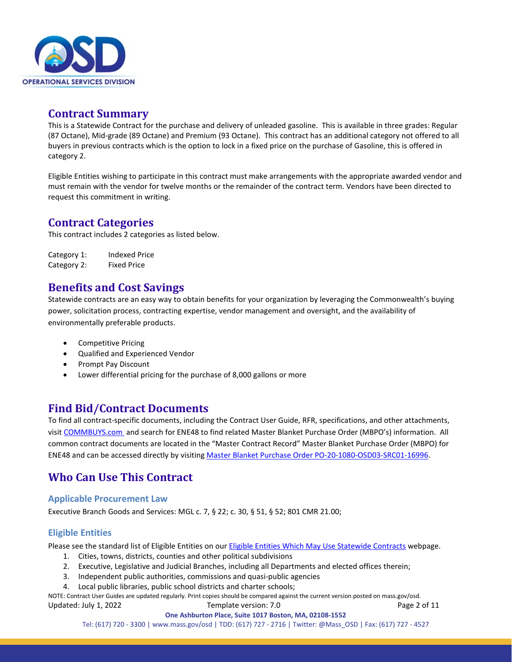

### <span id="page-1-0"></span>**Contract Summary**

This is a Statewide Contract for the purchase and delivery of unleaded gasoline. This is available in three grades: Regular (87 Octane), Mid-grade (89 Octane) and Premium (93 Octane).This contract has an additional category not offered to all buyers in previous contracts which is the option to lock in a fixed price on the purchase of Gasoline, this is offered in category 2.

Eligible Entities wishing to participate in this contract must make arrangements with the appropriate awarded vendor and must remain with the vendor for twelve months or the remainder of the contract term. Vendors have been directed to request this commitment in writing.

### <span id="page-1-1"></span>**Contract Categories**

This contract includes 2 categories as listed below.

Category 1: Indexed Price Category 2: Fixed Price

### <span id="page-1-2"></span>**Benefits and Cost Savings**

Statewide contracts are an easy way to obtain benefits for your organization by leveraging the Commonwealth's buying power, solicitation process, contracting expertise, vendor management and oversight, and the availability of environmentally preferable products.

- Competitive Pricing
- Qualified and Experienced Vendor
- Prompt Pay Discount
- Lower differential pricing for the purchase of 8,000 gallons or more

# <span id="page-1-3"></span>**Find Bid/Contract Documents**

To find all contract-specific documents, including the Contract User Guide, RFR, specifications, and other attachments, visi[t COMMBUYS.com](http://www.commbuys.com/) and search for ENE48 to find related Master Blanket Purchase Order (MBPO's) information. All common contract documents are located in the "Master Contract Record" Master Blanket Purchase Order (MBPO) for ENE48 and can be accessed directly by visiting [Master Blanket Purchase Order PO-20-1080-OSD03-SRC01-16996.](https://www.commbuys.com/bso/external/purchaseorder/poSummary.sdo?docId=PO-20-1080-OSD03-SRC01-16996&releaseNbr=0&parentUrl=contract)

# <span id="page-1-4"></span>**Who Can Use This Contract**

#### **Applicable Procurement Law**

Executive Branch Goods and Services: MGL c. 7, § 22; c. 30, § 51, § 52; 801 CMR 21.00;

#### **Eligible Entities**

Please see the standard list of Eligible Entities on our [Eligible Entities Which May Use Statewide Contracts](https://www.mass.gov/info-details/why-use-statewide-contracts#eligible-entities-which-may-use-statewide-contracts-) webpage.

- 1. Cities, towns, districts, counties and other political subdivisions
- 2. Executive, Legislative and Judicial Branches, including all Departments and elected offices therein;
- 3. Independent public authorities, commissions and quasi-public agencies
- 4. Local public libraries, public school districts and charter schools;

NOTE: Contract User Guides are updated regularly. Print copies should be compared against the current version posted on mass.gov/osd. Updated: July 1, 2022 Template version: 7.0 Page 2 of 11

Tel: (617) 720 - 3300 [| www.mass.gov/osd |](http://www.mass.gov/osd) TDD: (617) 727 - 2716 | Twitter: @Mass\_OSD | Fax: (617) 727 - 4527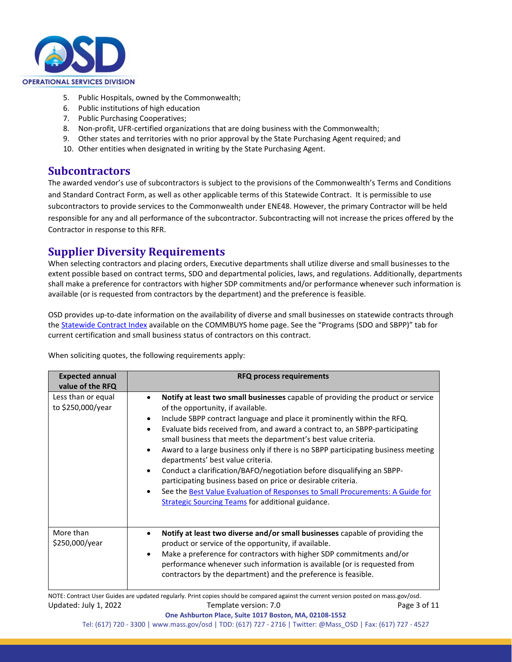

- 5. Public Hospitals, owned by the Commonwealth;
- 6. Public institutions of high education
- 7. Public Purchasing Cooperatives;
- 8. Non-profit, UFR-certified organizations that are doing business with the Commonwealth;
- 9. Other states and territories with no prior approval by the State Purchasing Agent required; and
- 10. Other entities when designated in writing by the State Purchasing Agent.

#### <span id="page-2-0"></span>**Subcontractors**

The awarded vendor's use of subcontractors is subject to the provisions of the Commonwealth's Terms and Conditions and Standard Contract Form, as well as other applicable terms of this Statewide Contract. It is permissible to use subcontractors to provide services to the Commonwealth under ENE48. However, the primary Contractor will be held responsible for any and all performance of the subcontractor. Subcontracting will not increase the prices offered by the Contractor in response to this RFR.

# **Supplier Diversity Requirements**

When selecting contractors and placing orders, Executive departments shall utilize diverse and small businesses to the extent possible based on contract terms, SDO and departmental policies, laws, and regulations. Additionally, departments shall make a preference for contractors with higher SDP commitments and/or performance whenever such information is available (or is requested from contractors by the department) and the preference is feasible.

OSD provides up-to-date information on the availability of diverse and small businesses on statewide contracts through th[e Statewide Contract Index](https://www.mass.gov/doc/statewide-contract-index/download) available on the COMMBUYS home page. See the "Programs (SDO and SBPP)" tab for current certification and small business status of contractors on this contract.

When soliciting quotes, the following requirements apply:

| <b>Expected annual</b><br>value of the RFQ | <b>RFQ process requirements</b>                                                                                                                                                                                                                                                                                                                                                                                                                                                                                                                                                                                                                                                                                                                                     |
|--------------------------------------------|---------------------------------------------------------------------------------------------------------------------------------------------------------------------------------------------------------------------------------------------------------------------------------------------------------------------------------------------------------------------------------------------------------------------------------------------------------------------------------------------------------------------------------------------------------------------------------------------------------------------------------------------------------------------------------------------------------------------------------------------------------------------|
| Less than or equal<br>to \$250,000/year    | Notify at least two small businesses capable of providing the product or service<br>of the opportunity, if available.<br>Include SBPP contract language and place it prominently within the RFQ.<br>Evaluate bids received from, and award a contract to, an SBPP-participating<br>small business that meets the department's best value criteria.<br>Award to a large business only if there is no SBPP participating business meeting<br>departments' best value criteria.<br>Conduct a clarification/BAFO/negotiation before disqualifying an SBPP-<br>participating business based on price or desirable criteria.<br>See the Best Value Evaluation of Responses to Small Procurements: A Guide for<br><b>Strategic Sourcing Teams for additional guidance.</b> |
| More than<br>\$250,000/year                | Notify at least two diverse and/or small businesses capable of providing the<br>product or service of the opportunity, if available.<br>Make a preference for contractors with higher SDP commitments and/or<br>performance whenever such information is available (or is requested from<br>contractors by the department) and the preference is feasible.                                                                                                                                                                                                                                                                                                                                                                                                          |

NOTE: Contract User Guides are updated regularly. Print copies should be compared against the current version posted on mass.gov/osd. Updated: July 1, 2022 Template version: 7.0 Page 3 of 11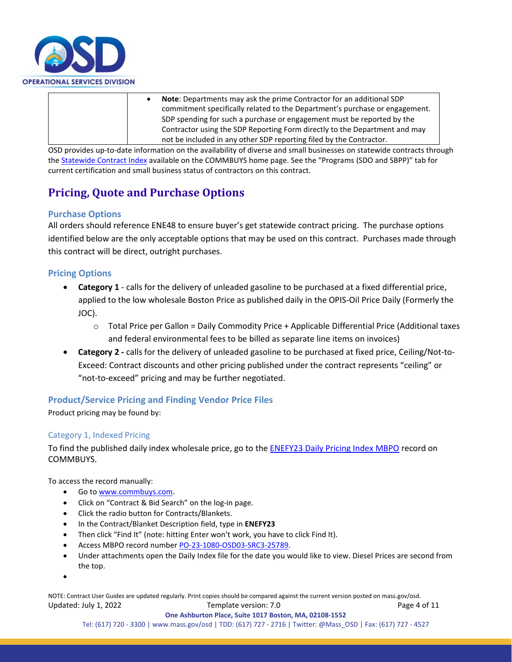

• **Note**: Departments may ask the prime Contractor for an additional SDP commitment specifically related to the Department's purchase or engagement. SDP spending for such a purchase or engagement must be reported by the Contractor using the SDP Reporting Form directly to the Department and may not be included in any other SDP reporting filed by the Contractor.

OSD provides up-to-date information on the availability of diverse and small businesses on statewide contracts through th[e Statewide Contract Index](https://www.mass.gov/doc/statewide-contract-index/download) available on the COMMBUYS home page. See the "Programs (SDO and SBPP)" tab for current certification and small business status of contractors on this contract.

# <span id="page-3-0"></span>**Pricing, Quote and Purchase Options**

#### **Purchase Options**

All orders should reference ENE48 to ensure buyer's get statewide contract pricing. The purchase options identified below are the only acceptable options that may be used on this contract. Purchases made through this contract will be direct, outright purchases.

#### **Pricing Options**

- **Category 1** calls for the delivery of unleaded gasoline to be purchased at a fixed differential price, applied to the low wholesale Boston Price as published daily in the OPIS-Oil Price Daily (Formerly the JOC).
	- o Total Price per Gallon = Daily Commodity Price + Applicable Differential Price (Additional taxes and federal environmental fees to be billed as separate line items on invoices)
- **Category 2 -** calls for the delivery of unleaded gasoline to be purchased at fixed price, Ceiling/Not-to-Exceed: Contract discounts and other pricing published under the contract represents "ceiling" or "not-to-exceed" pricing and may be further negotiated.

#### **Product/Service Pricing and Finding Vendor Price Files**

Product pricing may be found by:

#### Category 1, Indexed Pricing

To find the published daily index wholesale price, go to the **ENEFY23 Daily Pricing Index MBPO** record on COMMBUYS.

To access the record manually:

- Go t[o www.commbuys.com.](http://www.commbuys.com/)
- Click on "Contract & Bid Search" on the log-in page.
- Click the radio button for Contracts/Blankets.
- In the Contract/Blanket Description field, type in **ENEFY23**
- Then click "Find It" (note: hitting Enter won't work, you have to click Find It).
- Access MBPO record numbe[r PO-23-1080-OSD03-SRC3-25789.](https://www.commbuys.com/bso/external/purchaseorder/poSummary.sdo?docId=PO-23-1080-OSD03-SRC3-25789&releaseNbr=0&external=true&parentUrl=close)
- Under attachments open the Daily Index file for the date you would like to view. Diesel Prices are second from the top.
- •

NOTE: Contract User Guides are updated regularly. Print copies should be compared against the current version posted on mass.gov/osd. Updated: July 1, 2022 Template version: 7.0 Page 4 of 11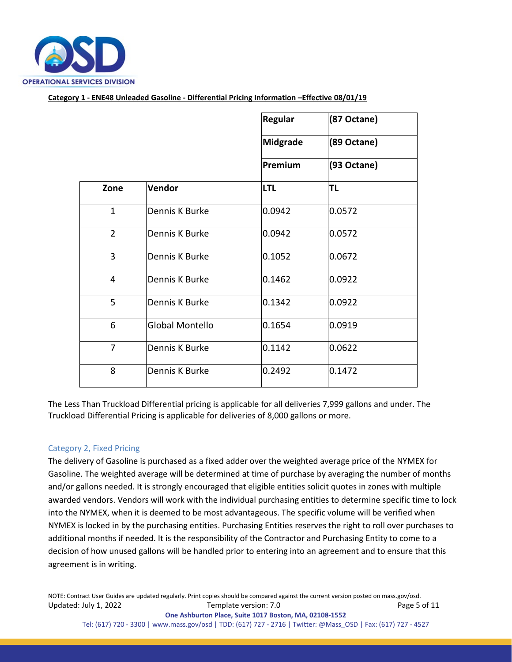

**Category 1 - ENE48 Unleaded Gasoline - Differential Pricing Information –Effective 08/01/19**

|                |                 | (87 Octane)     |             |
|----------------|-----------------|-----------------|-------------|
|                |                 | <b>Midgrade</b> | (89 Octane) |
|                |                 | Premium         | (93 Octane) |
| Zone           | Vendor          | <b>LTL</b>      | TL          |
| $\mathbf{1}$   | Dennis K Burke  | 0.0942          | 0.0572      |
| $\overline{2}$ | Dennis K Burke  | 0.0942          | 0.0572      |
| 3              | Dennis K Burke  | 0.1052          | 0.0672      |
| 4              | Dennis K Burke  | 0.1462          | 0.0922      |
| 5              | Dennis K Burke  | 0.1342          | 0.0922      |
| 6              | Global Montello | 0.1654          | 0.0919      |
| $\overline{7}$ | Dennis K Burke  | 0.1142          | 0.0622      |
| 8              | Dennis K Burke  | 0.2492          | 0.1472      |

The Less Than Truckload Differential pricing is applicable for all deliveries 7,999 gallons and under. The Truckload Differential Pricing is applicable for deliveries of 8,000 gallons or more.

#### Category 2, Fixed Pricing

The delivery of Gasoline is purchased as a fixed adder over the weighted average price of the NYMEX for Gasoline. The weighted average will be determined at time of purchase by averaging the number of months and/or gallons needed. It is strongly encouraged that eligible entities solicit quotes in zones with multiple awarded vendors. Vendors will work with the individual purchasing entities to determine specific time to lock into the NYMEX, when it is deemed to be most advantageous. The specific volume will be verified when NYMEX is locked in by the purchasing entities. Purchasing Entities reserves the right to roll over purchases to additional months if needed. It is the responsibility of the Contractor and Purchasing Entity to come to a decision of how unused gallons will be handled prior to entering into an agreement and to ensure that this agreement is in writing.

NOTE: Contract User Guides are updated regularly. Print copies should be compared against the current version posted on mass.gov/osd. Updated: July 1, 2022 Template version: 7.0 Page 5 of 11 **One Ashburton Place, Suite 1017 Boston, MA, 02108-1552**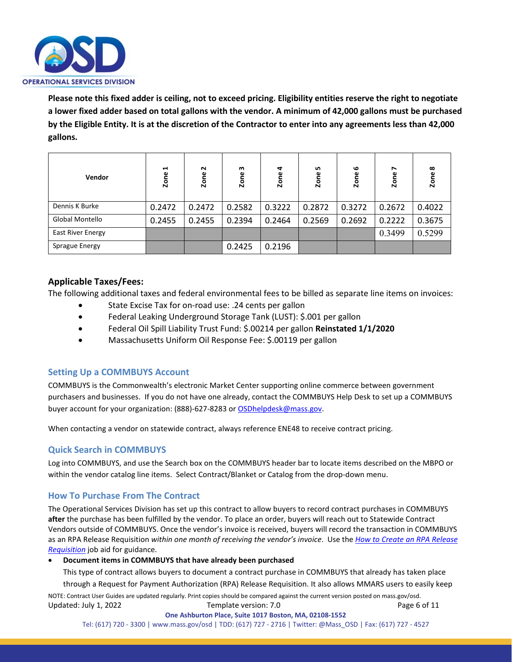

**Please note this fixed adder is ceiling, not to exceed pricing. Eligibility entities reserve the right to negotiate a lower fixed adder based on total gallons with the vendor. A minimum of 42,000 gallons must be purchased by the Eligible Entity. It is at the discretion of the Contractor to enter into any agreements less than 42,000 gallons.**

| Vendor                   | $\blacksquare$<br>Zone | $\sim$<br>Zone | m<br>Zone | $\blacktriangleleft$<br>Zone | LO.<br>Zone | ڡ<br>Zone | $\overline{\phantom{a}}$<br>Zone | $\infty$<br><b>Zone</b> |
|--------------------------|------------------------|----------------|-----------|------------------------------|-------------|-----------|----------------------------------|-------------------------|
| Dennis K Burke           | 0.2472                 | 0.2472         | 0.2582    | 0.3222                       | 0.2872      | 0.3272    | 0.2672                           | 0.4022                  |
| Global Montello          | 0.2455                 | 0.2455         | 0.2394    | 0.2464                       | 0.2569      | 0.2692    | 0.2222                           | 0.3675                  |
| <b>East River Energy</b> |                        |                |           |                              |             |           | 0.3499                           | 0.5299                  |
| Sprague Energy           |                        |                | 0.2425    | 0.2196                       |             |           |                                  |                         |

#### **Applicable Taxes/Fees:**

The following additional taxes and federal environmental fees to be billed as separate line items on invoices:

- State Excise Tax for on-road use: .24 cents per gallon
- Federal Leaking Underground Storage Tank (LUST): \$.001 per gallon
- Federal Oil Spill Liability Trust Fund: \$.00214 per gallon **Reinstated 1/1/2020**
- Massachusetts Uniform Oil Response Fee: \$.00119 per gallon

#### **Setting Up a COMMBUYS Account**

COMMBUYS is the Commonwealth's electronic Market Center supporting online commerce between government purchasers and businesses. If you do not have one already, contact the COMMBUYS Help Desk to set up a COMMBUYS buyer account for your organization: (888)-627-8283 o[r OSDhelpdesk@mass.gov.](mailto:OSDhelpdesk@mass.gov)

When contacting a vendor on statewide contract, always reference ENE48 to receive contract pricing.

#### **Quick Search in COMMBUYS**

Log into COMMBUYS, and use the Search box on the COMMBUYS header bar to locate items described on the MBPO or within the vendor catalog line items. Select Contract/Blanket or Catalog from the drop-down menu.

#### **How To Purchase From The Contract**

The Operational Services Division has set up this contract to allow buyers to record contract purchases in COMMBUYS **after** the purchase has been fulfilled by the vendor. To place an order, buyers will reach out to Statewide Contract Vendors outside of COMMBUYS. Once the vendor's invoice is received, buyers will record the transaction in COMMBUYS as an RPA Release Requisition *within one month of receiving the vendor's invoice*. Use the *[How to Create an RPA Release](https://www.mass.gov/media/1528801/download)  [Requisition](https://www.mass.gov/media/1528801/download)* job aid for guidance.

#### • **Document items in COMMBUYS that have already been purchased**

NOTE: Contract User Guides are updated regularly. Print copies should be compared against the current version posted on mass.gov/osd. Updated: July 1, 2022 Template version: 7.0 Page 6 of 11 This type of contract allows buyers to document a contract purchase in COMMBUYS that already has taken place through a Request for Payment Authorization (RPA) Release Requisition. It also allows MMARS users to easily keep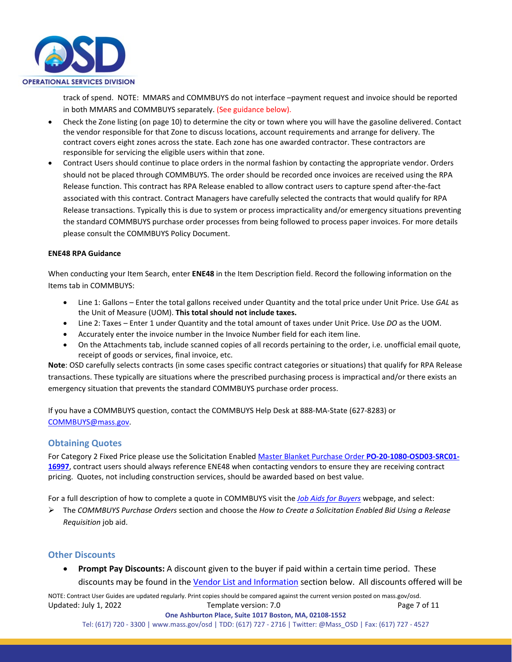

track of spend. NOTE: MMARS and COMMBUYS do not interface –payment request and invoice should be reported in both MMARS and COMMBUYS separately. (See guidance below).

- Check the Zone listing (on page 10) to determine the city or town where you will have the gasoline delivered. Contact the vendor responsible for that Zone to discuss locations, account requirements and arrange for delivery. The contract covers eight zones across the state. Each zone has one awarded contractor. These contractors are responsible for servicing the eligible users within that zone.
- Contract Users should continue to place orders in the normal fashion by contacting the appropriate vendor. Orders should not be placed through COMMBUYS. The order should be recorded once invoices are received using the RPA Release function. This contract has RPA Release enabled to allow contract users to capture spend after-the-fact associated with this contract. Contract Managers have carefully selected the contracts that would qualify for RPA Release transactions. Typically this is due to system or process impracticality and/or emergency situations preventing the standard COMMBUYS purchase order processes from being followed to process paper invoices. For more details please consult the COMMBUYS Policy Document.

#### **ENE48 RPA Guidance**

When conducting your Item Search, enter **ENE48** in the Item Description field. Record the following information on the Items tab in COMMBUYS:

- Line 1: Gallons Enter the total gallons received under Quantity and the total price under Unit Price. Use *GAL* as the Unit of Measure (UOM). **This total should not include taxes.**
- Line 2: Taxes Enter 1 under Quantity and the total amount of taxes under Unit Price. Use *DO* as the UOM.
- Accurately enter the invoice number in the Invoice Number field for each item line.
- On the Attachments tab, include scanned copies of all records pertaining to the order, i.e. unofficial email quote, receipt of goods or services, final invoice, etc.

**Note**: OSD carefully selects contracts (in some cases specific contract categories or situations) that qualify for RPA Release transactions. These typically are situations where the prescribed purchasing process is impractical and/or there exists an emergency situation that prevents the standard COMMBUYS purchase order process.

If you have a COMMBUYS question, contact the COMMBUYS Help Desk at 888-MA-State (627-8283) or [COMMBUYS@mass.gov.](mailto:COMMBUYS@mass.gov)

#### **Obtaining Quotes**

For Category 2 Fixed Price please use the Solicitation Enable[d Master Blanket Purchase Order](https://www.commbuys.com/bso/external/purchaseorder/poSummary.sdo?docId=PO-20-1080-OSD03-SRC01-16997&releaseNbr=0&parentUrl=contract) **PO-20-1080-OSD03-SRC01- [16997](https://www.commbuys.com/bso/external/purchaseorder/poSummary.sdo?docId=PO-20-1080-OSD03-SRC01-16997&releaseNbr=0&parentUrl=contract)**, contract users should always reference ENE48 when contacting vendors to ensure they are receiving contract pricing. Quotes, not including construction services, should be awarded based on best value.

For a full description of how to complete a quote in COMMBUYS visit the *[Job Aids for Buyers](https://www.mass.gov/lists/job-aids-for-buyers-using-commbuys)* webpage, and select:

 The *COMMBUYS Purchase Orders* section and choose the *How to Create a Solicitation Enabled Bid Using a Release Requisition* job aid.

#### **Other Discounts**

• **Prompt Pay Discounts:** A discount given to the buyer if paid within a certain time period. These discounts may be found in the [Vendor List and Information](#page-9-0) section below. All discounts offered will be

NOTE: Contract User Guides are updated regularly. Print copies should be compared against the current version posted on mass.gov/osd. Updated: July 1, 2022 Template version: 7.0 Page 7 of 11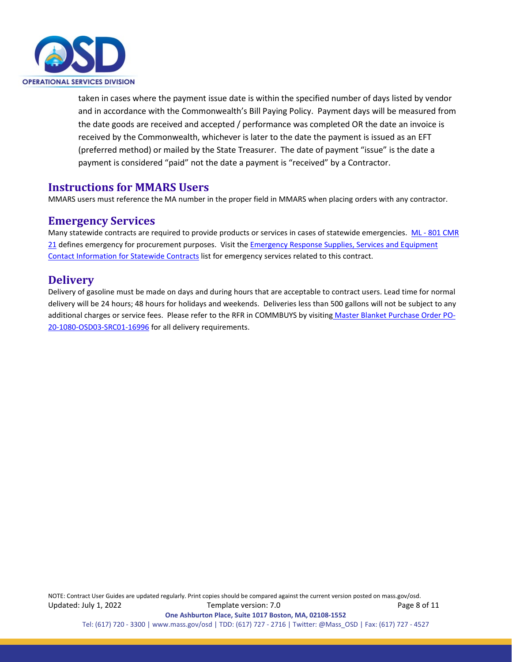

taken in cases where the payment issue date is within the specified number of days listed by vendor and in accordance with the Commonwealth's Bill Paying Policy. Payment days will be measured from the date goods are received and accepted / performance was completed OR the date an invoice is received by the Commonwealth, whichever is later to the date the payment is issued as an EFT (preferred method) or mailed by the State Treasurer. The date of payment "issue" is the date a payment is considered "paid" not the date a payment is "received" by a Contractor.

### <span id="page-7-0"></span>**Instructions for MMARS Users**

MMARS users must reference the MA number in the proper field in MMARS when placing orders with any contractor.

#### <span id="page-7-1"></span>**Emergency Services**

Many statewide contracts are required to provide products or services in cases of statewide emergencies. ML - 801 CMR [21](https://www.mass.gov/regulations/801-CMR-21-procurement-of-commodities-or-services-including-human-and-social-services) defines emergency for procurement purposes. Visit th[e Emergency Response Supplies, Services and Equipment](https://www.mass.gov/doc/emergency-response-supplies-services-and-equipment-contact-information)  [Contact Information for Statewide Contracts](https://www.mass.gov/doc/emergency-response-supplies-services-and-equipment-contact-information) list for emergency services related to this contract.

### <span id="page-7-2"></span>**Delivery**

Delivery of gasoline must be made on days and during hours that are acceptable to contract users. Lead time for normal delivery will be 24 hours; 48 hours for holidays and weekends. Deliveries less than 500 gallons will not be subject to any additional charges or service fees. Please refer to the RFR in COMMBUYS by visiting [Master Blanket Purchase Order PO-](https://www.commbuys.com/bso/external/purchaseorder/poSummary.sdo?docId=PO-20-1080-OSD03-SRC01-16996&releaseNbr=0&parentUrl=contract)[20-1080-OSD03-SRC01-16996](https://www.commbuys.com/bso/external/purchaseorder/poSummary.sdo?docId=PO-20-1080-OSD03-SRC01-16996&releaseNbr=0&parentUrl=contract) for all delivery requirements.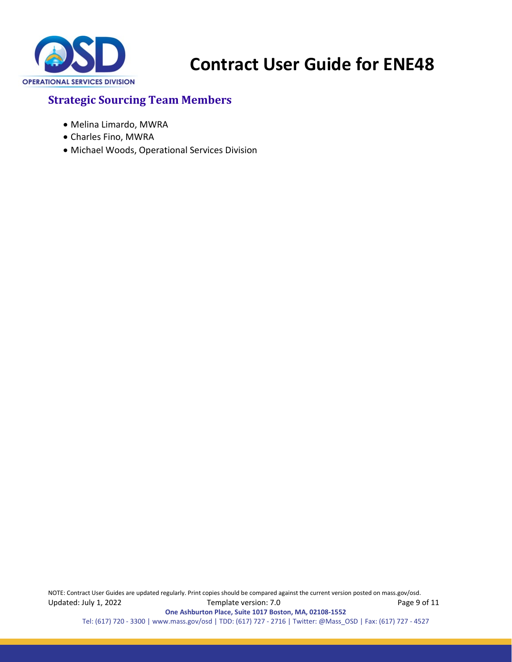

# <span id="page-8-0"></span>**Strategic Sourcing Team Members**

- Melina Limardo, MWRA
- Charles Fino, MWRA
- Michael Woods, Operational Services Division

NOTE: Contract User Guides are updated regularly. Print copies should be compared against the current version posted on mass.gov/osd. Updated: July 1, 2022 Template version: 7.0 Page 9 of 11 **One Ashburton Place, Suite 1017 Boston, MA, 02108-1552** Tel: (617) 720 - 3300 [| www.mass.gov/osd |](http://www.mass.gov/osd) TDD: (617) 727 - 2716 | Twitter: @Mass\_OSD | Fax: (617) 727 - 4527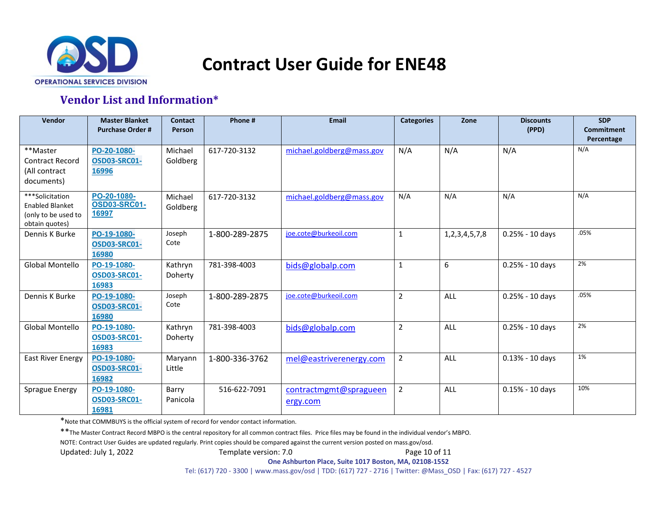

# **Vendor List and Information\***

<span id="page-9-0"></span>

| Vendor                                                                             | <b>Master Blanket</b><br><b>Purchase Order #</b> | <b>Contact</b><br>Person | Phone #        | Email                              | <b>Categories</b> | Zone                | <b>Discounts</b><br>(PPD) | <b>SDP</b><br><b>Commitment</b><br>Percentage |
|------------------------------------------------------------------------------------|--------------------------------------------------|--------------------------|----------------|------------------------------------|-------------------|---------------------|---------------------------|-----------------------------------------------|
| **Master<br><b>Contract Record</b><br>(All contract<br>documents)                  | PO-20-1080-<br><b>OSD03-SRC01-</b><br>16996      | Michael<br>Goldberg      | 617-720-3132   | michael.goldberg@mass.gov          | N/A               | N/A                 | N/A                       | N/A                                           |
| ***Solicitation<br><b>Enabled Blanket</b><br>(only to be used to<br>obtain quotes) | PO-20-1080-<br><b>OSD03-SRC01-</b><br>16997      | Michael<br>Goldberg      | 617-720-3132   | michael.goldberg@mass.gov          | N/A               | N/A                 | N/A                       | N/A                                           |
| Dennis K Burke                                                                     | PO-19-1080-<br>OSD03-SRC01-<br>16980             | Joseph<br>Cote           | 1-800-289-2875 | joe.cote@burkeoil.com              | $\mathbf{1}$      | 1, 2, 3, 4, 5, 7, 8 | $0.25% - 10$ days         | .05%                                          |
| <b>Global Montello</b>                                                             | PO-19-1080-<br><b>OSD03-SRC01-</b><br>16983      | Kathryn<br>Doherty       | 781-398-4003   | bids@globalp.com                   | $\mathbf 1$       | 6                   | $0.25% - 10$ days         | 2%                                            |
| Dennis K Burke                                                                     | PO-19-1080-<br><b>OSD03-SRC01-</b><br>16980      | Joseph<br>Cote           | 1-800-289-2875 | joe.cote@burkeoil.com              | $\overline{2}$    | ALL                 | $0.25% - 10$ days         | .05%                                          |
| Global Montello                                                                    | PO-19-1080-<br><b>OSD03-SRC01-</b><br>16983      | Kathryn<br>Doherty       | 781-398-4003   | bids@globalp.com                   | $\overline{2}$    | ALL                 | $0.25% - 10$ days         | 2%                                            |
| <b>East River Energy</b>                                                           | PO-19-1080-<br><b>OSD03-SRC01-</b><br>16982      | Maryann<br>Little        | 1-800-336-3762 | mel@eastriverenergy.com            | $\overline{2}$    | ALL                 | $0.13% - 10$ days         | 1%                                            |
| Sprague Energy                                                                     | PO-19-1080-<br>OSD03-SRC01-<br>16981             | Barry<br>Panicola        | 516-622-7091   | contractmgmt@spragueen<br>ergy.com | $\overline{2}$    | ALL                 | $0.15% - 10$ days         | 10%                                           |

\*Note that COMMBUYS is the official system of record for vendor contact information.

\*\*The Master Contract Record MBPO is the central repository for all common contract files. Price files may be found in the individual vendor's MBPO.

NOTE: Contract User Guides are updated regularly. Print copies should be compared against the current version posted on mass.gov/osd.

Updated: July 1, 2022 Template version: 7.0 Page 10 of 11

<span id="page-9-1"></span>**One Ashburton Place, Suite 1017 Boston, MA, 02108-1552**

Tel: (617) 720 - 3300 | [www.mass.gov/osd |](http://www.mass.gov/osd) TDD: (617) 727 - 2716 | Twitter: @Mass\_OSD | Fax: (617) 727 - 4527